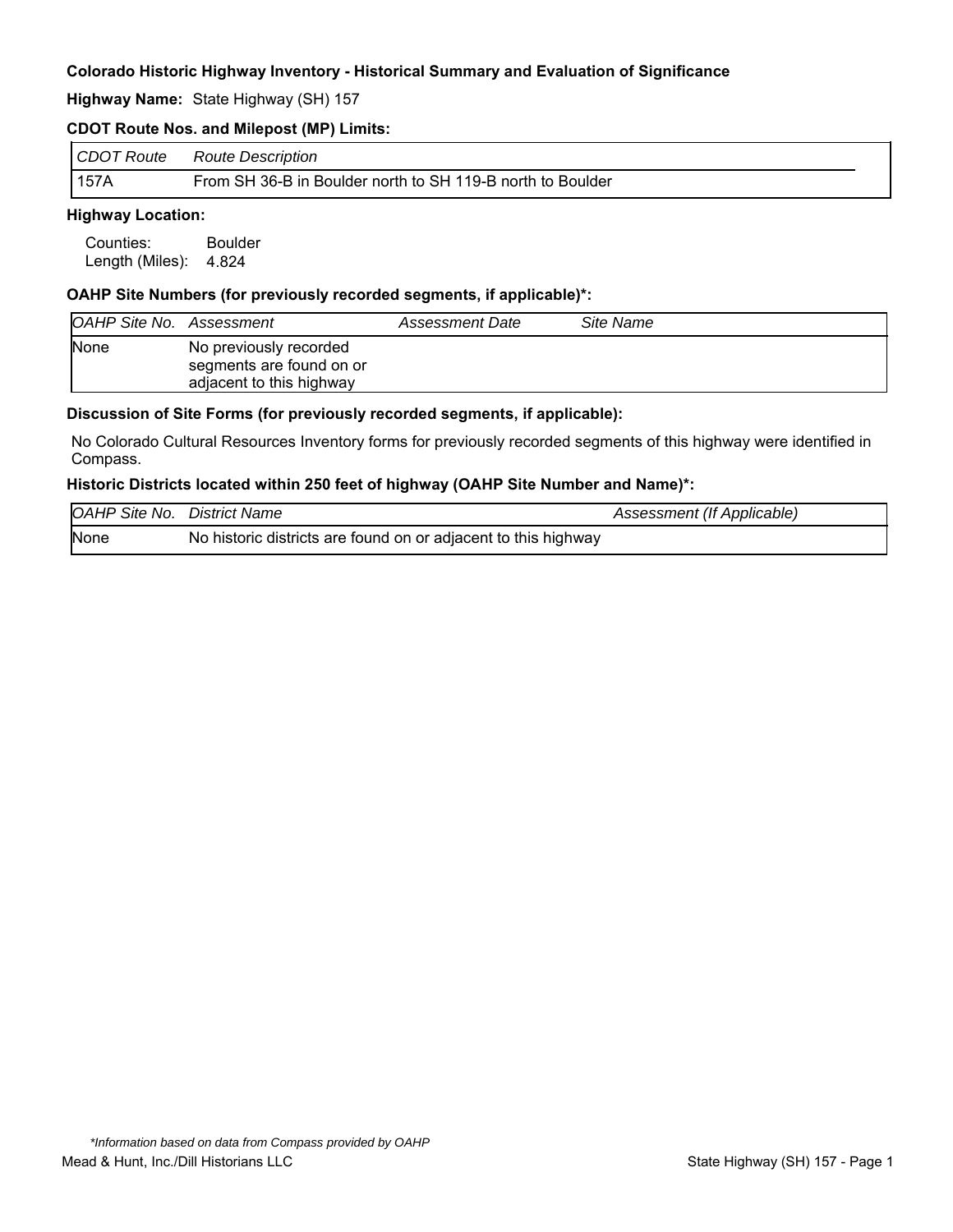**Highway Name:** State Highway (SH) 157

#### **CDOT Route Nos. and Milepost (MP) Limits:**

| CDOT Route | <b>Route Description</b>                                   |
|------------|------------------------------------------------------------|
| 157A       | From SH 36-B in Boulder north to SH 119-B north to Boulder |

## **Highway Location:**

Counties: Boulder Length (Miles): 4.824

#### **OAHP Site Numbers (for previously recorded segments, if applicable)\*:**

| <b>OAHP Site No. Assessment</b> |                                                                                | Assessment Date | Site Name |
|---------------------------------|--------------------------------------------------------------------------------|-----------------|-----------|
| <b>None</b>                     | No previously recorded<br>segments are found on or<br>adjacent to this highway |                 |           |

#### **Discussion of Site Forms (for previously recorded segments, if applicable):**

No Colorado Cultural Resources Inventory forms for previously recorded segments of this highway were identified in Compass.

#### **Historic Districts located within 250 feet of highway (OAHP Site Number and Name)\*:**

| <b>OAHP Site No. District Name</b> |                                                                | Assessment (If Applicable) |
|------------------------------------|----------------------------------------------------------------|----------------------------|
| None                               | No historic districts are found on or adjacent to this highway |                            |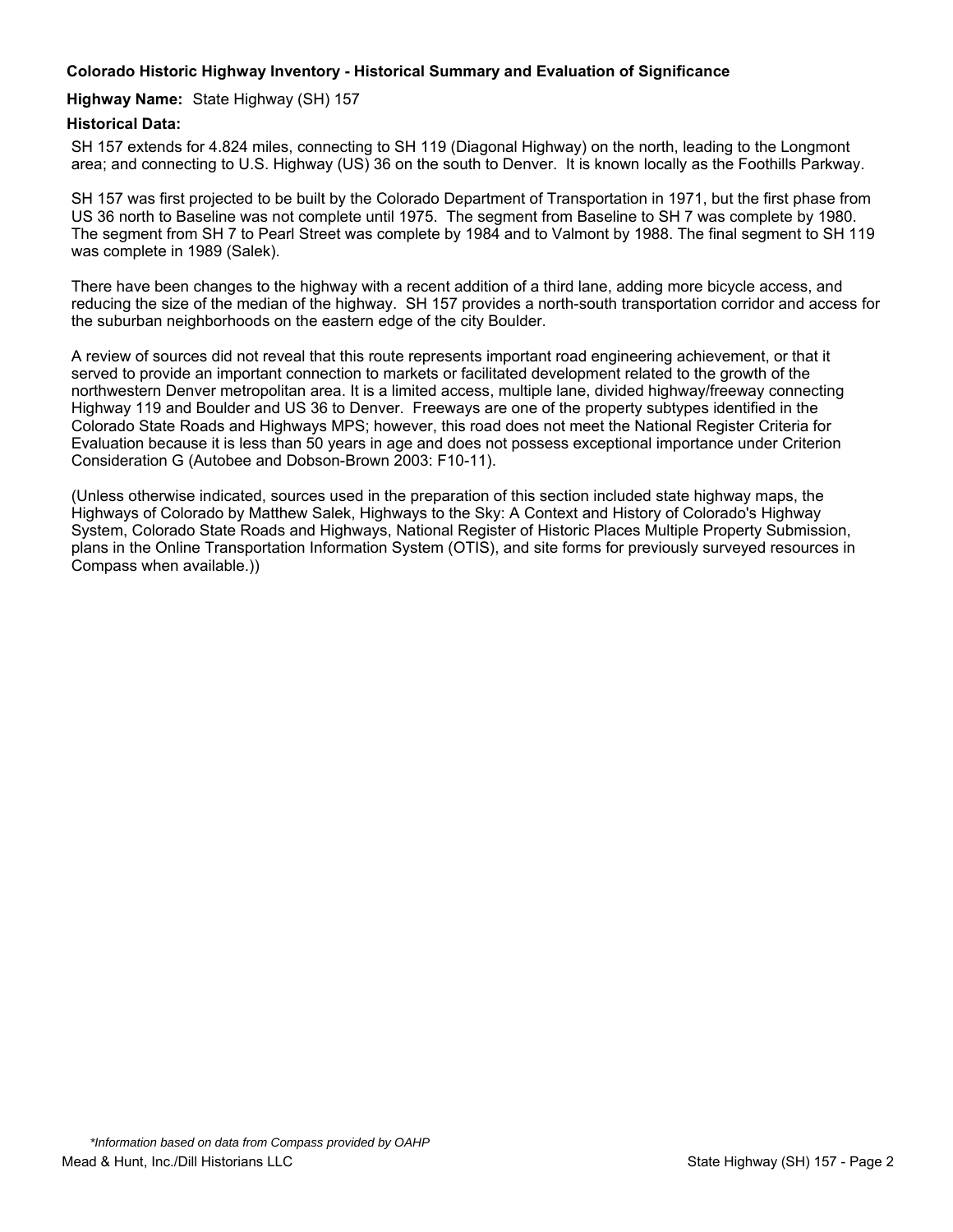#### **Highway Name:** State Highway (SH) 157

## **Historical Data:**

SH 157 extends for 4.824 miles, connecting to SH 119 (Diagonal Highway) on the north, leading to the Longmont area; and connecting to U.S. Highway (US) 36 on the south to Denver. It is known locally as the Foothills Parkway.

SH 157 was first projected to be built by the Colorado Department of Transportation in 1971, but the first phase from US 36 north to Baseline was not complete until 1975. The segment from Baseline to SH 7 was complete by 1980. The segment from SH 7 to Pearl Street was complete by 1984 and to Valmont by 1988. The final segment to SH 119 was complete in 1989 (Salek).

There have been changes to the highway with a recent addition of a third lane, adding more bicycle access, and reducing the size of the median of the highway. SH 157 provides a north-south transportation corridor and access for the suburban neighborhoods on the eastern edge of the city Boulder.

A review of sources did not reveal that this route represents important road engineering achievement, or that it served to provide an important connection to markets or facilitated development related to the growth of the northwestern Denver metropolitan area. It is a limited access, multiple lane, divided highway/freeway connecting Highway 119 and Boulder and US 36 to Denver. Freeways are one of the property subtypes identified in the Colorado State Roads and Highways MPS; however, this road does not meet the National Register Criteria for Evaluation because it is less than 50 years in age and does not possess exceptional importance under Criterion Consideration G (Autobee and Dobson-Brown 2003: F10-11).

(Unless otherwise indicated, sources used in the preparation of this section included state highway maps, the Highways of Colorado by Matthew Salek, Highways to the Sky: A Context and History of Colorado's Highway System, Colorado State Roads and Highways, National Register of Historic Places Multiple Property Submission, plans in the Online Transportation Information System (OTIS), and site forms for previously surveyed resources in Compass when available.))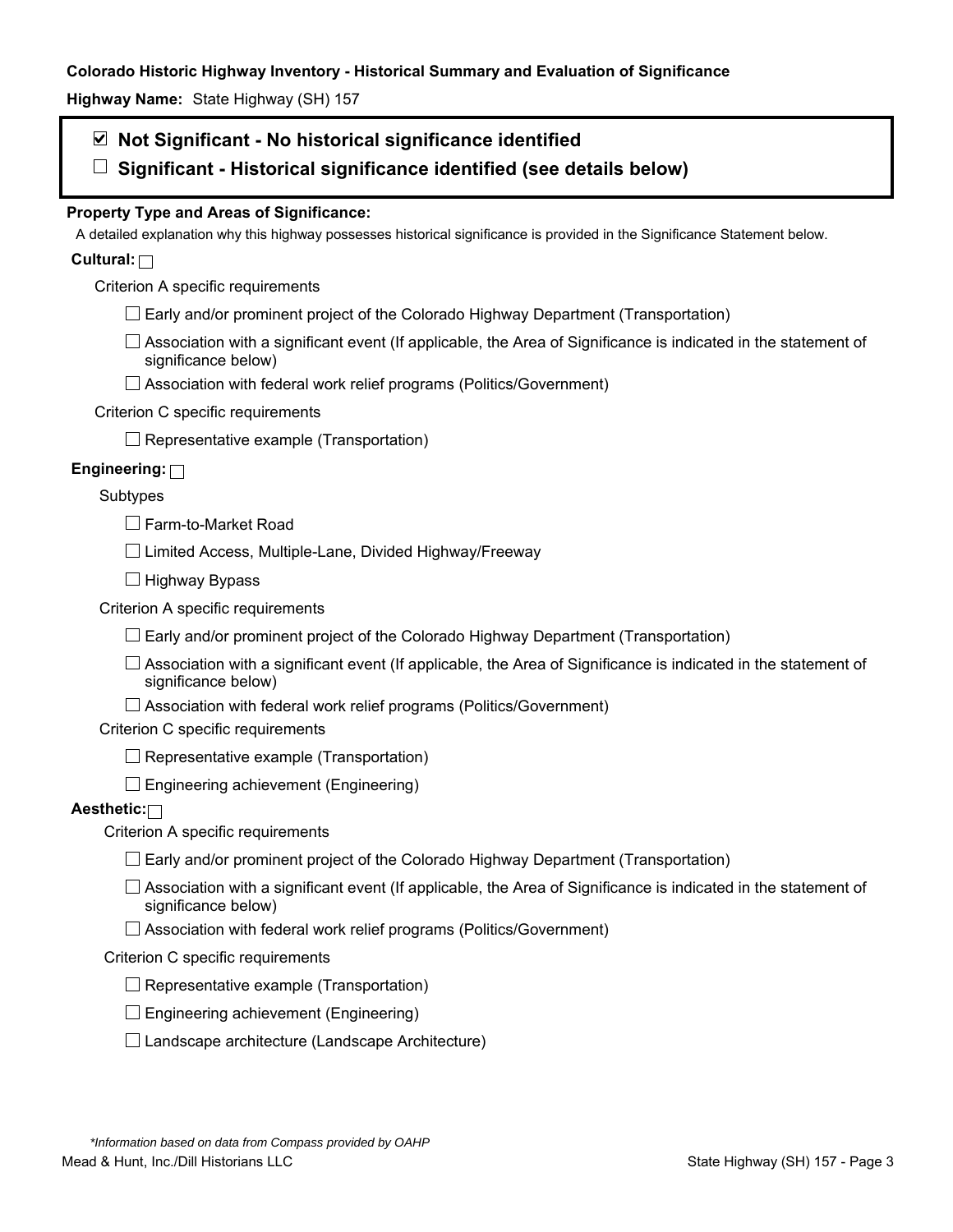**Highway Name:** State Highway (SH) 157

## **Not Significant - No historical significance identified**

**Significant - Historical significance identified (see details below)** 

## **Property Type and Areas of Significance:**

A detailed explanation why this highway possesses historical significance is provided in the Significance Statement below.

## **Cultural:**

Criterion A specific requirements

- $\Box$  Early and/or prominent project of the Colorado Highway Department (Transportation)
- $\Box$  Association with a significant event (If applicable, the Area of Significance is indicated in the statement of significance below)
- □ Association with federal work relief programs (Politics/Government)

## Criterion C specific requirements

 $\Box$  Representative example (Transportation)

## **Engineering:**

## Subtypes

□ Farm-to-Market Road

 $\Box$  Limited Access, Multiple-Lane, Divided Highway/Freeway

 $\Box$  Highway Bypass

Criterion A specific requirements

 $\Box$  Early and/or prominent project of the Colorado Highway Department (Transportation)

 $\Box$  Association with a significant event (If applicable, the Area of Significance is indicated in the statement of significance below)

 $\Box$  Association with federal work relief programs (Politics/Government)

Criterion C specific requirements

 $\Box$  Representative example (Transportation)

 $\Box$  Engineering achievement (Engineering)

## **Aesthetic:**

Criterion A specific requirements

- $\Box$  Early and/or prominent project of the Colorado Highway Department (Transportation)
- $\Box$  Association with a significant event (If applicable, the Area of Significance is indicated in the statement of significance below)
- $\Box$  Association with federal work relief programs (Politics/Government)

#### Criterion C specific requirements

- $\Box$  Representative example (Transportation)
- $\square$  Engineering achievement (Engineering)
- $\square$  Landscape architecture (Landscape Architecture)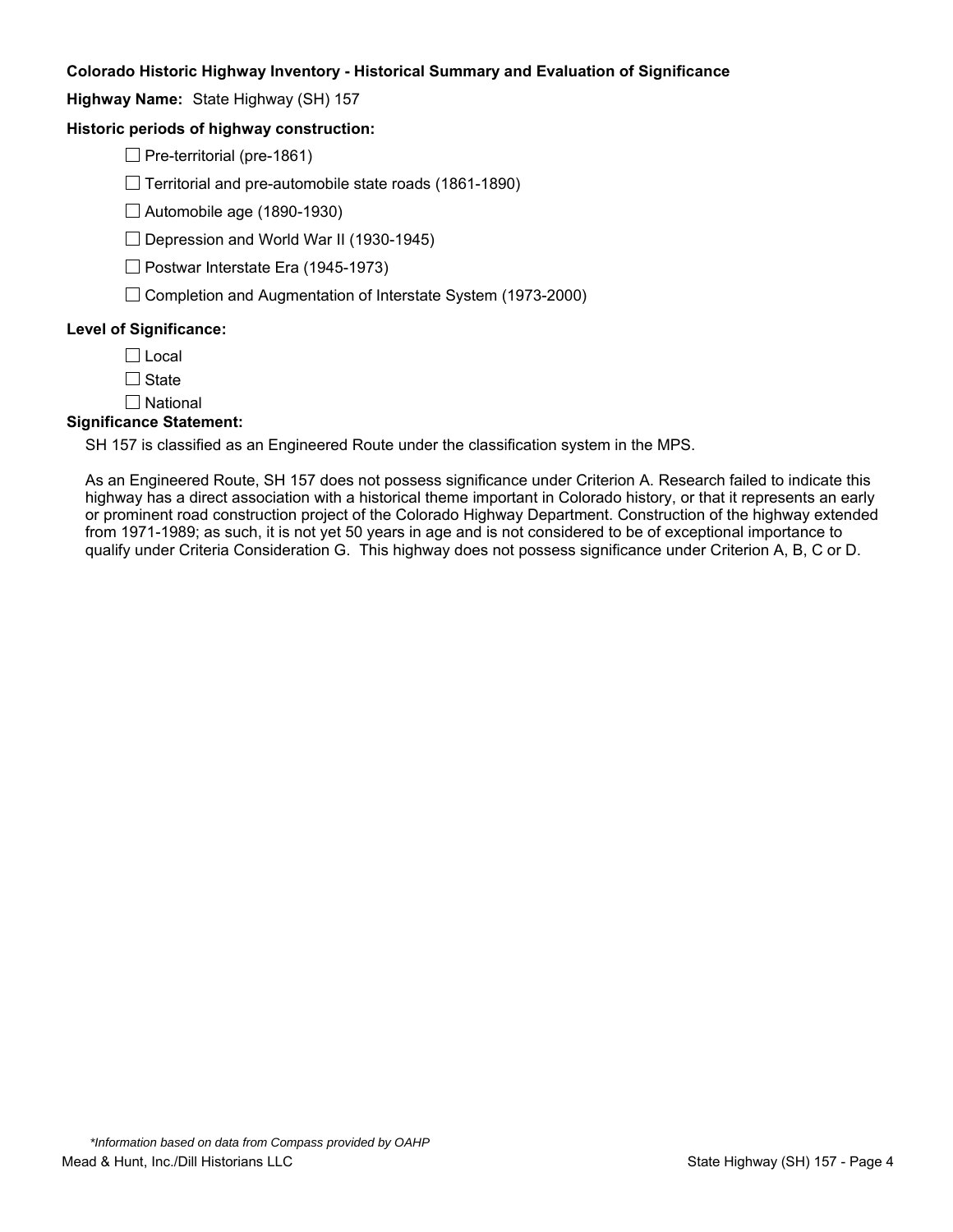**Highway Name:** State Highway (SH) 157

## **Historic periods of highway construction:**

 $\Box$  Pre-territorial (pre-1861)

 $\Box$  Territorial and pre-automobile state roads (1861-1890)

 $\Box$  Automobile age (1890-1930)

 $\Box$  Depression and World War II (1930-1945)

 $\Box$  Postwar Interstate Era (1945-1973)

 $\Box$  Completion and Augmentation of Interstate System (1973-2000)

#### **Level of Significance:**

 $\Box$  Local

 $\Box$  State

 $\square$  National

#### **Significance Statement:**

SH 157 is classified as an Engineered Route under the classification system in the MPS.

As an Engineered Route, SH 157 does not possess significance under Criterion A. Research failed to indicate this highway has a direct association with a historical theme important in Colorado history, or that it represents an early or prominent road construction project of the Colorado Highway Department. Construction of the highway extended from 1971-1989; as such, it is not yet 50 years in age and is not considered to be of exceptional importance to qualify under Criteria Consideration G. This highway does not possess significance under Criterion A, B, C or D.